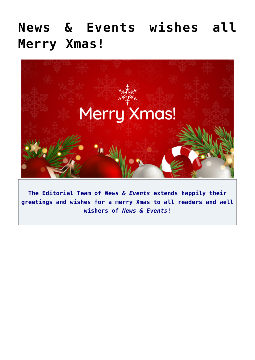## **[News & Events wishes all](https://news.vidyaacademy.ac.in/2021/12/23/news-events-wishes-all-merry-xmas/) [Merry Xmas!](https://news.vidyaacademy.ac.in/2021/12/23/news-events-wishes-all-merry-xmas/)**



**The Editorial Team of** *News & Events* **extends happily their greetings and wishes for a merry Xmas to all readers and well wishers of** *News & Events***!**